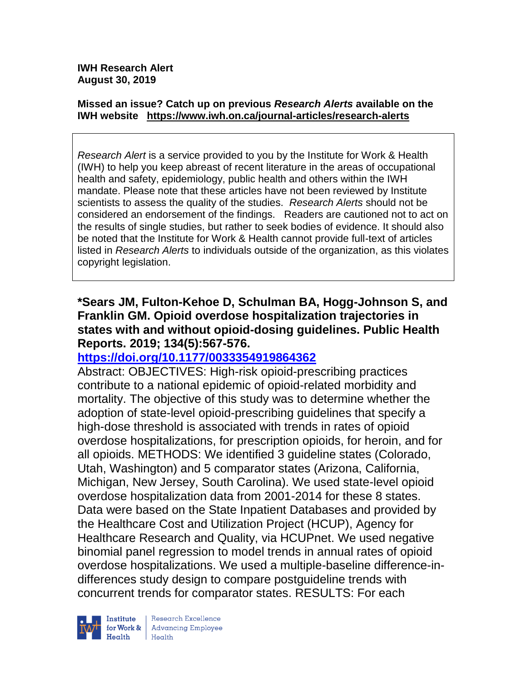#### **Missed an issue? Catch up on previous** *Research Alerts* **available on the [IWH website](http://www.iwh.on.ca/research-alerts) <https://www.iwh.on.ca/journal-articles/research-alerts>**

*Research Alert* is a service provided to you by the Institute for Work & Health (IWH) to help you keep abreast of recent literature in the areas of occupational health and safety, epidemiology, public health and others within the IWH mandate. Please note that these articles have not been reviewed by Institute scientists to assess the quality of the studies. *Research Alerts* should not be considered an endorsement of the findings. Readers are cautioned not to act on the results of single studies, but rather to seek bodies of evidence. It should also be noted that the Institute for Work & Health cannot provide full-text of articles listed in *Research Alerts* to individuals outside of the organization, as this violates copyright legislation.

#### **\*Sears JM, Fulton-Kehoe D, Schulman BA, Hogg-Johnson S, and Franklin GM. Opioid overdose hospitalization trajectories in states with and without opioid-dosing guidelines. Public Health Reports. 2019; 134(5):567-576.**

## **<https://doi.org/10.1177/0033354919864362>**

Abstract: OBJECTIVES: High-risk opioid-prescribing practices contribute to a national epidemic of opioid-related morbidity and mortality. The objective of this study was to determine whether the adoption of state-level opioid-prescribing guidelines that specify a high-dose threshold is associated with trends in rates of opioid overdose hospitalizations, for prescription opioids, for heroin, and for all opioids. METHODS: We identified 3 guideline states (Colorado, Utah, Washington) and 5 comparator states (Arizona, California, Michigan, New Jersey, South Carolina). We used state-level opioid overdose hospitalization data from 2001-2014 for these 8 states. Data were based on the State Inpatient Databases and provided by the Healthcare Cost and Utilization Project (HCUP), Agency for Healthcare Research and Quality, via HCUPnet. We used negative binomial panel regression to model trends in annual rates of opioid overdose hospitalizations. We used a multiple-baseline difference-indifferences study design to compare postguideline trends with concurrent trends for comparator states. RESULTS: For each



Research Excellence for Work & | Advancing Employee Health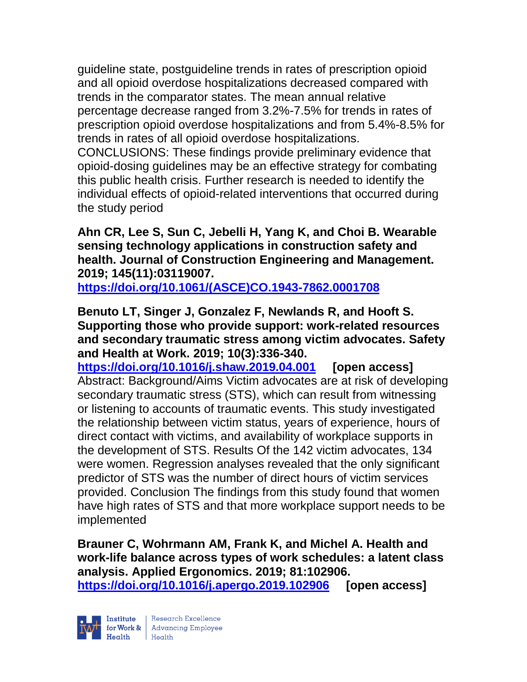guideline state, postguideline trends in rates of prescription opioid and all opioid overdose hospitalizations decreased compared with trends in the comparator states. The mean annual relative percentage decrease ranged from 3.2%-7.5% for trends in rates of prescription opioid overdose hospitalizations and from 5.4%-8.5% for trends in rates of all opioid overdose hospitalizations.

CONCLUSIONS: These findings provide preliminary evidence that opioid-dosing guidelines may be an effective strategy for combating this public health crisis. Further research is needed to identify the individual effects of opioid-related interventions that occurred during the study period

**Ahn CR, Lee S, Sun C, Jebelli H, Yang K, and Choi B. Wearable sensing technology applications in construction safety and health. Journal of Construction Engineering and Management. 2019; 145(11):03119007.**

**[https://doi.org/10.1061/\(ASCE\)CO.1943-7862.0001708](https://doi.org/10.1061/(ASCE)CO.1943-7862.0001708)** 

**Benuto LT, Singer J, Gonzalez F, Newlands R, and Hooft S. Supporting those who provide support: work-related resources and secondary traumatic stress among victim advocates. Safety and Health at Work. 2019; 10(3):336-340.** 

**<https://doi.org/10.1016/j.shaw.2019.04.001> [open access]** Abstract: Background/Aims Victim advocates are at risk of developing secondary traumatic stress (STS), which can result from witnessing or listening to accounts of traumatic events. This study investigated the relationship between victim status, years of experience, hours of direct contact with victims, and availability of workplace supports in the development of STS. Results Of the 142 victim advocates, 134 were women. Regression analyses revealed that the only significant predictor of STS was the number of direct hours of victim services provided. Conclusion The findings from this study found that women have high rates of STS and that more workplace support needs to be implemented

**Brauner C, Wohrmann AM, Frank K, and Michel A. Health and work-life balance across types of work schedules: a latent class analysis. Applied Ergonomics. 2019; 81:102906. <https://doi.org/10.1016/j.apergo.2019.102906> [open access]**

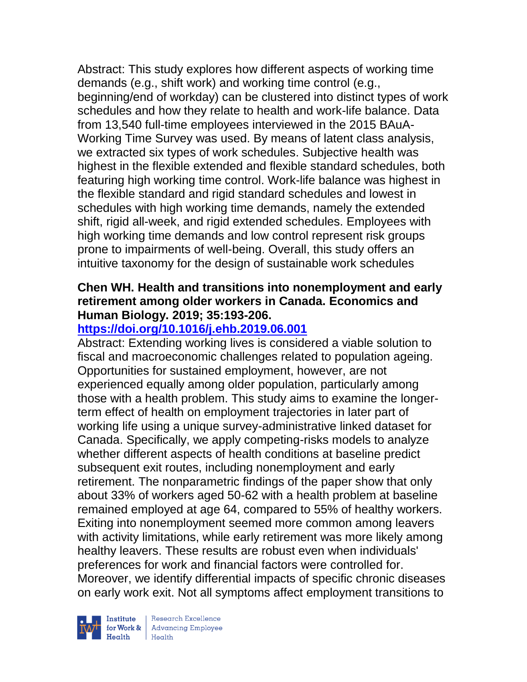Abstract: This study explores how different aspects of working time demands (e.g., shift work) and working time control (e.g., beginning/end of workday) can be clustered into distinct types of work schedules and how they relate to health and work-life balance. Data from 13,540 full-time employees interviewed in the 2015 BAuA-Working Time Survey was used. By means of latent class analysis, we extracted six types of work schedules. Subjective health was highest in the flexible extended and flexible standard schedules, both featuring high working time control. Work-life balance was highest in the flexible standard and rigid standard schedules and lowest in schedules with high working time demands, namely the extended shift, rigid all-week, and rigid extended schedules. Employees with high working time demands and low control represent risk groups prone to impairments of well-being. Overall, this study offers an intuitive taxonomy for the design of sustainable work schedules

#### **Chen WH. Health and transitions into nonemployment and early retirement among older workers in Canada. Economics and Human Biology. 2019; 35:193-206.**

## **<https://doi.org/10.1016/j.ehb.2019.06.001>**

Abstract: Extending working lives is considered a viable solution to fiscal and macroeconomic challenges related to population ageing. Opportunities for sustained employment, however, are not experienced equally among older population, particularly among those with a health problem. This study aims to examine the longerterm effect of health on employment trajectories in later part of working life using a unique survey-administrative linked dataset for Canada. Specifically, we apply competing-risks models to analyze whether different aspects of health conditions at baseline predict subsequent exit routes, including nonemployment and early retirement. The nonparametric findings of the paper show that only about 33% of workers aged 50-62 with a health problem at baseline remained employed at age 64, compared to 55% of healthy workers. Exiting into nonemployment seemed more common among leavers with activity limitations, while early retirement was more likely among healthy leavers. These results are robust even when individuals' preferences for work and financial factors were controlled for. Moreover, we identify differential impacts of specific chronic diseases on early work exit. Not all symptoms affect employment transitions to

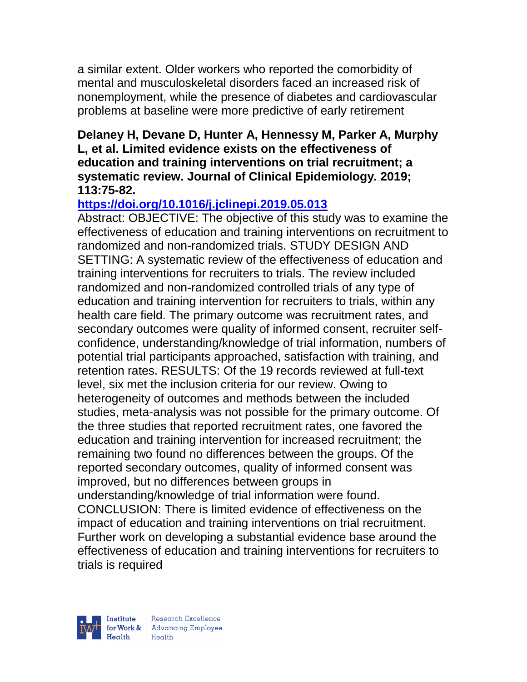a similar extent. Older workers who reported the comorbidity of mental and musculoskeletal disorders faced an increased risk of nonemployment, while the presence of diabetes and cardiovascular problems at baseline were more predictive of early retirement

#### **Delaney H, Devane D, Hunter A, Hennessy M, Parker A, Murphy L, et al. Limited evidence exists on the effectiveness of education and training interventions on trial recruitment; a systematic review. Journal of Clinical Epidemiology. 2019; 113:75-82.**

# **<https://doi.org/10.1016/j.jclinepi.2019.05.013>**

Abstract: OBJECTIVE: The objective of this study was to examine the effectiveness of education and training interventions on recruitment to randomized and non-randomized trials. STUDY DESIGN AND SETTING: A systematic review of the effectiveness of education and training interventions for recruiters to trials. The review included randomized and non-randomized controlled trials of any type of education and training intervention for recruiters to trials, within any health care field. The primary outcome was recruitment rates, and secondary outcomes were quality of informed consent, recruiter selfconfidence, understanding/knowledge of trial information, numbers of potential trial participants approached, satisfaction with training, and retention rates. RESULTS: Of the 19 records reviewed at full-text level, six met the inclusion criteria for our review. Owing to heterogeneity of outcomes and methods between the included studies, meta-analysis was not possible for the primary outcome. Of the three studies that reported recruitment rates, one favored the education and training intervention for increased recruitment; the remaining two found no differences between the groups. Of the reported secondary outcomes, quality of informed consent was improved, but no differences between groups in understanding/knowledge of trial information were found. CONCLUSION: There is limited evidence of effectiveness on the impact of education and training interventions on trial recruitment. Further work on developing a substantial evidence base around the effectiveness of education and training interventions for recruiters to trials is required

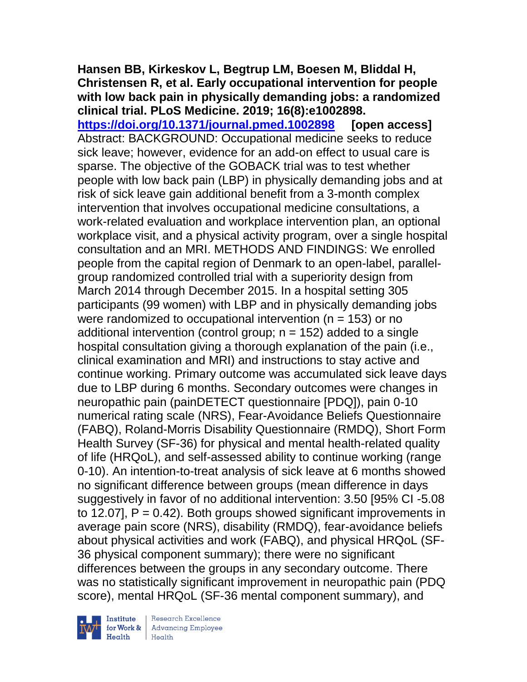#### **Hansen BB, Kirkeskov L, Begtrup LM, Boesen M, Bliddal H, Christensen R, et al. Early occupational intervention for people with low back pain in physically demanding jobs: a randomized clinical trial. PLoS Medicine. 2019; 16(8):e1002898.**

**<https://doi.org/10.1371/journal.pmed.1002898> [open access]** Abstract: BACKGROUND: Occupational medicine seeks to reduce sick leave; however, evidence for an add-on effect to usual care is sparse. The objective of the GOBACK trial was to test whether people with low back pain (LBP) in physically demanding jobs and at risk of sick leave gain additional benefit from a 3-month complex intervention that involves occupational medicine consultations, a work-related evaluation and workplace intervention plan, an optional workplace visit, and a physical activity program, over a single hospital consultation and an MRI. METHODS AND FINDINGS: We enrolled people from the capital region of Denmark to an open-label, parallelgroup randomized controlled trial with a superiority design from March 2014 through December 2015. In a hospital setting 305 participants (99 women) with LBP and in physically demanding jobs were randomized to occupational intervention ( $n = 153$ ) or no additional intervention (control group;  $n = 152$ ) added to a single hospital consultation giving a thorough explanation of the pain (i.e., clinical examination and MRI) and instructions to stay active and continue working. Primary outcome was accumulated sick leave days due to LBP during 6 months. Secondary outcomes were changes in neuropathic pain (painDETECT questionnaire [PDQ]), pain 0-10 numerical rating scale (NRS), Fear-Avoidance Beliefs Questionnaire (FABQ), Roland-Morris Disability Questionnaire (RMDQ), Short Form Health Survey (SF-36) for physical and mental health-related quality of life (HRQoL), and self-assessed ability to continue working (range 0-10). An intention-to-treat analysis of sick leave at 6 months showed no significant difference between groups (mean difference in days suggestively in favor of no additional intervention: 3.50 [95% CI -5.08 to 12.07],  $P = 0.42$ ). Both groups showed significant improvements in average pain score (NRS), disability (RMDQ), fear-avoidance beliefs about physical activities and work (FABQ), and physical HRQoL (SF-36 physical component summary); there were no significant differences between the groups in any secondary outcome. There was no statistically significant improvement in neuropathic pain (PDQ score), mental HRQoL (SF-36 mental component summary), and

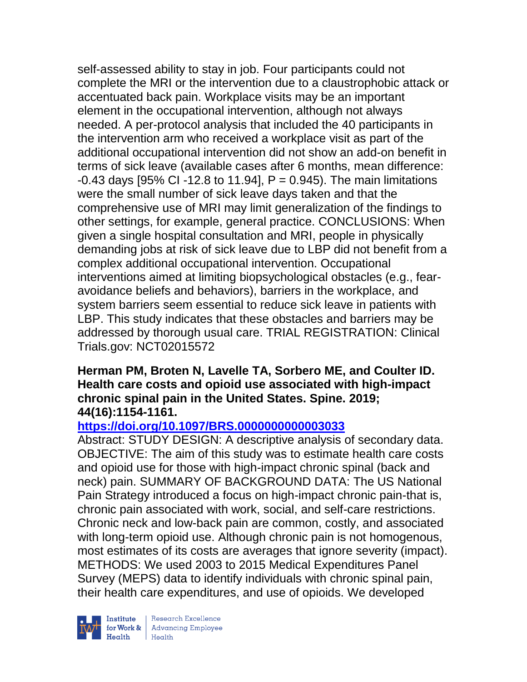self-assessed ability to stay in job. Four participants could not complete the MRI or the intervention due to a claustrophobic attack or accentuated back pain. Workplace visits may be an important element in the occupational intervention, although not always needed. A per-protocol analysis that included the 40 participants in the intervention arm who received a workplace visit as part of the additional occupational intervention did not show an add-on benefit in terms of sick leave (available cases after 6 months, mean difference: -0.43 days [95% CI -12.8 to 11.94], P = 0.945). The main limitations were the small number of sick leave days taken and that the comprehensive use of MRI may limit generalization of the findings to other settings, for example, general practice. CONCLUSIONS: When given a single hospital consultation and MRI, people in physically demanding jobs at risk of sick leave due to LBP did not benefit from a complex additional occupational intervention. Occupational interventions aimed at limiting biopsychological obstacles (e.g., fearavoidance beliefs and behaviors), barriers in the workplace, and system barriers seem essential to reduce sick leave in patients with LBP. This study indicates that these obstacles and barriers may be addressed by thorough usual care. TRIAL REGISTRATION: Clinical Trials.gov: NCT02015572

#### **Herman PM, Broten N, Lavelle TA, Sorbero ME, and Coulter ID. Health care costs and opioid use associated with high-impact chronic spinal pain in the United States. Spine. 2019; 44(16):1154-1161.**

## **<https://doi.org/10.1097/BRS.0000000000003033>**

Abstract: STUDY DESIGN: A descriptive analysis of secondary data. OBJECTIVE: The aim of this study was to estimate health care costs and opioid use for those with high-impact chronic spinal (back and neck) pain. SUMMARY OF BACKGROUND DATA: The US National Pain Strategy introduced a focus on high-impact chronic pain-that is, chronic pain associated with work, social, and self-care restrictions. Chronic neck and low-back pain are common, costly, and associated with long-term opioid use. Although chronic pain is not homogenous, most estimates of its costs are averages that ignore severity (impact). METHODS: We used 2003 to 2015 Medical Expenditures Panel Survey (MEPS) data to identify individuals with chronic spinal pain, their health care expenditures, and use of opioids. We developed



 $\begin{tabular}{|l|} Institute & Research Excellence \\ \hline for Work & Advancing Employee \\ Health & Health \\ \end{tabular}$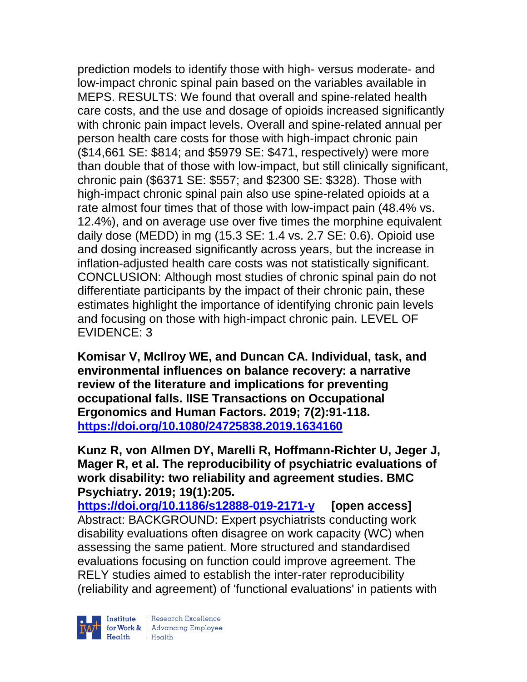prediction models to identify those with high- versus moderate- and low-impact chronic spinal pain based on the variables available in MEPS. RESULTS: We found that overall and spine-related health care costs, and the use and dosage of opioids increased significantly with chronic pain impact levels. Overall and spine-related annual per person health care costs for those with high-impact chronic pain (\$14,661 SE: \$814; and \$5979 SE: \$471, respectively) were more than double that of those with low-impact, but still clinically significant, chronic pain (\$6371 SE: \$557; and \$2300 SE: \$328). Those with high-impact chronic spinal pain also use spine-related opioids at a rate almost four times that of those with low-impact pain (48.4% vs. 12.4%), and on average use over five times the morphine equivalent daily dose (MEDD) in mg (15.3 SE: 1.4 vs. 2.7 SE: 0.6). Opioid use and dosing increased significantly across years, but the increase in inflation-adjusted health care costs was not statistically significant. CONCLUSION: Although most studies of chronic spinal pain do not differentiate participants by the impact of their chronic pain, these estimates highlight the importance of identifying chronic pain levels and focusing on those with high-impact chronic pain. LEVEL OF EVIDENCE: 3

**Komisar V, McIlroy WE, and Duncan CA. Individual, task, and environmental influences on balance recovery: a narrative review of the literature and implications for preventing occupational falls. IISE Transactions on Occupational Ergonomics and Human Factors. 2019; 7(2):91-118. <https://doi.org/10.1080/24725838.2019.1634160>** 

**Kunz R, von Allmen DY, Marelli R, Hoffmann-Richter U, Jeger J, Mager R, et al. The reproducibility of psychiatric evaluations of work disability: two reliability and agreement studies. BMC Psychiatry. 2019; 19(1):205.**

**<https://doi.org/10.1186/s12888-019-2171-y> [open access]** Abstract: BACKGROUND: Expert psychiatrists conducting work disability evaluations often disagree on work capacity (WC) when assessing the same patient. More structured and standardised evaluations focusing on function could improve agreement. The RELY studies aimed to establish the inter-rater reproducibility (reliability and agreement) of 'functional evaluations' in patients with



| Research Excellence for Work & Advancing Employee<br>
Health Health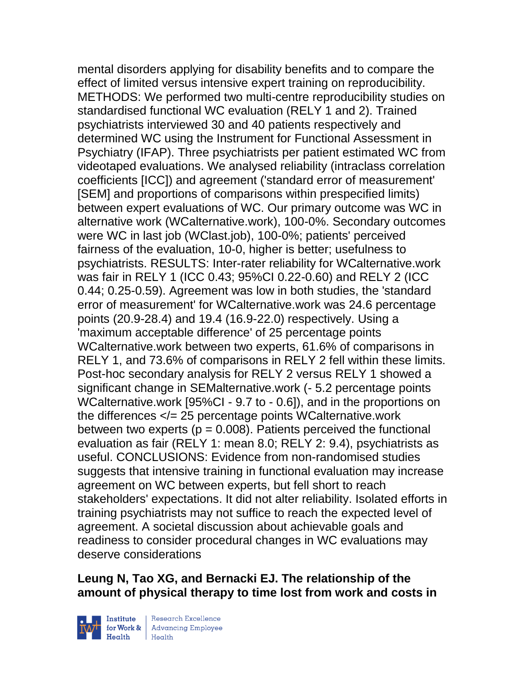mental disorders applying for disability benefits and to compare the effect of limited versus intensive expert training on reproducibility. METHODS: We performed two multi-centre reproducibility studies on standardised functional WC evaluation (RELY 1 and 2). Trained psychiatrists interviewed 30 and 40 patients respectively and determined WC using the Instrument for Functional Assessment in Psychiatry (IFAP). Three psychiatrists per patient estimated WC from videotaped evaluations. We analysed reliability (intraclass correlation coefficients [ICC]) and agreement ('standard error of measurement' [SEM] and proportions of comparisons within prespecified limits) between expert evaluations of WC. Our primary outcome was WC in alternative work (WCalternative.work), 100-0%. Secondary outcomes were WC in last job (WClast.job), 100-0%; patients' perceived fairness of the evaluation, 10-0, higher is better; usefulness to psychiatrists. RESULTS: Inter-rater reliability for WCalternative.work was fair in RELY 1 (ICC 0.43; 95%CI 0.22-0.60) and RELY 2 (ICC 0.44; 0.25-0.59). Agreement was low in both studies, the 'standard error of measurement' for WCalternative.work was 24.6 percentage points (20.9-28.4) and 19.4 (16.9-22.0) respectively. Using a 'maximum acceptable difference' of 25 percentage points WCalternative.work between two experts, 61.6% of comparisons in RELY 1, and 73.6% of comparisons in RELY 2 fell within these limits. Post-hoc secondary analysis for RELY 2 versus RELY 1 showed a significant change in SEMalternative.work (- 5.2 percentage points WCalternative.work [95%CI - 9.7 to - 0.6]), and in the proportions on the differences  $\langle = 25$  percentage points WCalternative.work between two experts ( $p = 0.008$ ). Patients perceived the functional evaluation as fair (RELY 1: mean 8.0; RELY 2: 9.4), psychiatrists as useful. CONCLUSIONS: Evidence from non-randomised studies suggests that intensive training in functional evaluation may increase agreement on WC between experts, but fell short to reach stakeholders' expectations. It did not alter reliability. Isolated efforts in training psychiatrists may not suffice to reach the expected level of agreement. A societal discussion about achievable goals and readiness to consider procedural changes in WC evaluations may deserve considerations

## **Leung N, Tao XG, and Bernacki EJ. The relationship of the amount of physical therapy to time lost from work and costs in**



 $\begin{tabular}{|l|} Institute & Research Excellence \\ \hline for Work & Advancing Employee \\ Health & Health \\ \end{tabular}$ | Research Excellence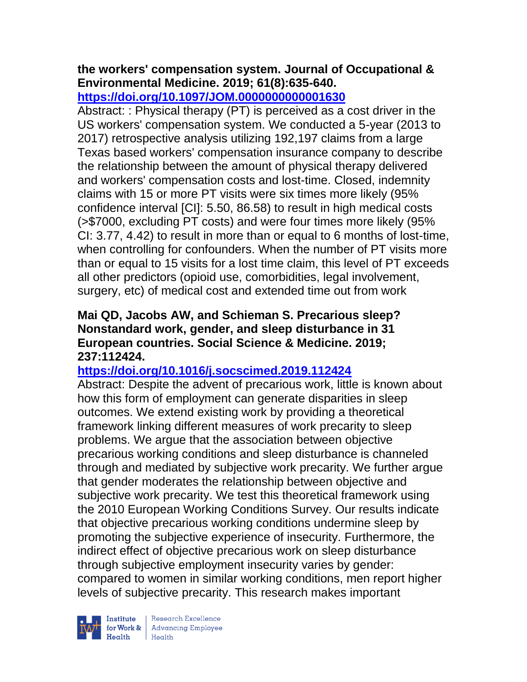# **the workers' compensation system. Journal of Occupational & Environmental Medicine. 2019; 61(8):635-640.**

**<https://doi.org/10.1097/JOM.0000000000001630>** 

Abstract: : Physical therapy (PT) is perceived as a cost driver in the US workers' compensation system. We conducted a 5-year (2013 to 2017) retrospective analysis utilizing 192,197 claims from a large Texas based workers' compensation insurance company to describe the relationship between the amount of physical therapy delivered and workers' compensation costs and lost-time. Closed, indemnity claims with 15 or more PT visits were six times more likely (95% confidence interval [CI]: 5.50, 86.58) to result in high medical costs (>\$7000, excluding PT costs) and were four times more likely (95% CI: 3.77, 4.42) to result in more than or equal to 6 months of lost-time, when controlling for confounders. When the number of PT visits more than or equal to 15 visits for a lost time claim, this level of PT exceeds all other predictors (opioid use, comorbidities, legal involvement, surgery, etc) of medical cost and extended time out from work

## **Mai QD, Jacobs AW, and Schieman S. Precarious sleep? Nonstandard work, gender, and sleep disturbance in 31 European countries. Social Science & Medicine. 2019; 237:112424.**

# **<https://doi.org/10.1016/j.socscimed.2019.112424>**

Abstract: Despite the advent of precarious work, little is known about how this form of employment can generate disparities in sleep outcomes. We extend existing work by providing a theoretical framework linking different measures of work precarity to sleep problems. We argue that the association between objective precarious working conditions and sleep disturbance is channeled through and mediated by subjective work precarity. We further argue that gender moderates the relationship between objective and subjective work precarity. We test this theoretical framework using the 2010 European Working Conditions Survey. Our results indicate that objective precarious working conditions undermine sleep by promoting the subjective experience of insecurity. Furthermore, the indirect effect of objective precarious work on sleep disturbance through subjective employment insecurity varies by gender: compared to women in similar working conditions, men report higher levels of subjective precarity. This research makes important



 $\begin{tabular}{|l|} Institute & Research Excellence \\ \hline for Work & Advancing Employee \\ Health & Health \\ \end{tabular}$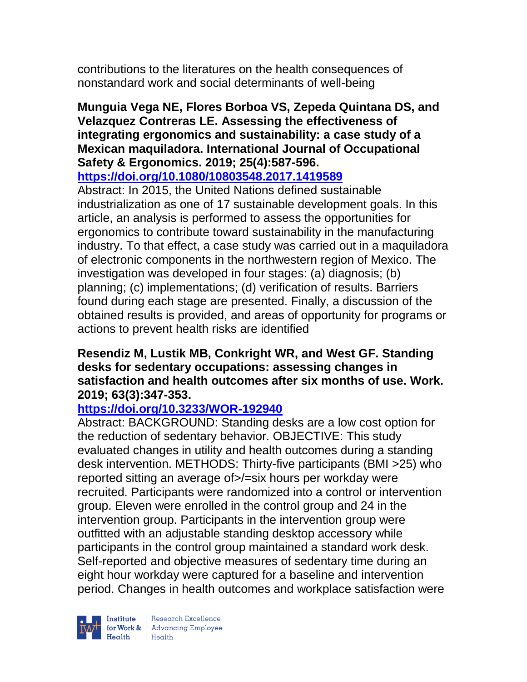contributions to the literatures on the health consequences of nonstandard work and social determinants of well-being

**Munguia Vega NE, Flores Borboa VS, Zepeda Quintana DS, and Velazquez Contreras LE. Assessing the effectiveness of integrating ergonomics and sustainability: a case study of a Mexican maquiladora. International Journal of Occupational Safety & Ergonomics. 2019; 25(4):587-596.** 

**<https://doi.org/10.1080/10803548.2017.1419589>** 

Abstract: In 2015, the United Nations defined sustainable industrialization as one of 17 sustainable development goals. In this article, an analysis is performed to assess the opportunities for ergonomics to contribute toward sustainability in the manufacturing industry. To that effect, a case study was carried out in a maquiladora of electronic components in the northwestern region of Mexico. The investigation was developed in four stages: (a) diagnosis; (b) planning; (c) implementations; (d) verification of results. Barriers found during each stage are presented. Finally, a discussion of the obtained results is provided, and areas of opportunity for programs or actions to prevent health risks are identified

#### **Resendiz M, Lustik MB, Conkright WR, and West GF. Standing desks for sedentary occupations: assessing changes in satisfaction and health outcomes after six months of use. Work. 2019; 63(3):347-353.**

# **<https://doi.org/10.3233/WOR-192940>**

Abstract: BACKGROUND: Standing desks are a low cost option for the reduction of sedentary behavior. OBJECTIVE: This study evaluated changes in utility and health outcomes during a standing desk intervention. METHODS: Thirty-five participants (BMI >25) who reported sitting an average of>/=six hours per workday were recruited. Participants were randomized into a control or intervention group. Eleven were enrolled in the control group and 24 in the intervention group. Participants in the intervention group were outfitted with an adjustable standing desktop accessory while participants in the control group maintained a standard work desk. Self-reported and objective measures of sedentary time during an eight hour workday were captured for a baseline and intervention period. Changes in health outcomes and workplace satisfaction were

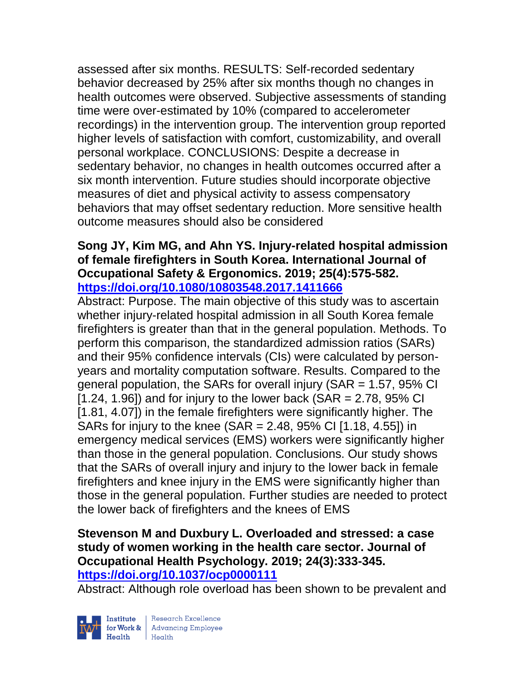assessed after six months. RESULTS: Self-recorded sedentary behavior decreased by 25% after six months though no changes in health outcomes were observed. Subjective assessments of standing time were over-estimated by 10% (compared to accelerometer recordings) in the intervention group. The intervention group reported higher levels of satisfaction with comfort, customizability, and overall personal workplace. CONCLUSIONS: Despite a decrease in sedentary behavior, no changes in health outcomes occurred after a six month intervention. Future studies should incorporate objective measures of diet and physical activity to assess compensatory behaviors that may offset sedentary reduction. More sensitive health outcome measures should also be considered

#### **Song JY, Kim MG, and Ahn YS. Injury-related hospital admission of female firefighters in South Korea. International Journal of Occupational Safety & Ergonomics. 2019; 25(4):575-582. <https://doi.org/10.1080/10803548.2017.1411666>**

Abstract: Purpose. The main objective of this study was to ascertain whether injury-related hospital admission in all South Korea female firefighters is greater than that in the general population. Methods. To perform this comparison, the standardized admission ratios (SARs) and their 95% confidence intervals (CIs) were calculated by personyears and mortality computation software. Results. Compared to the general population, the SARs for overall injury  $(SAR = 1.57, 95\% \text{ Cl}$  $[1.24, 1.96]$  and for injury to the lower back (SAR = 2.78, 95% CI [1.81, 4.07]) in the female firefighters were significantly higher. The SARs for injury to the knee (SAR = 2.48, 95% CI [1.18, 4.55]) in emergency medical services (EMS) workers were significantly higher than those in the general population. Conclusions. Our study shows that the SARs of overall injury and injury to the lower back in female firefighters and knee injury in the EMS were significantly higher than those in the general population. Further studies are needed to protect the lower back of firefighters and the knees of EMS

#### **Stevenson M and Duxbury L. Overloaded and stressed: a case study of women working in the health care sector. Journal of Occupational Health Psychology. 2019; 24(3):333-345. <https://doi.org/10.1037/ocp0000111>**

Abstract: Although role overload has been shown to be prevalent and

Institute

Research Excellence for Work & Advancing Employee<br>Health Health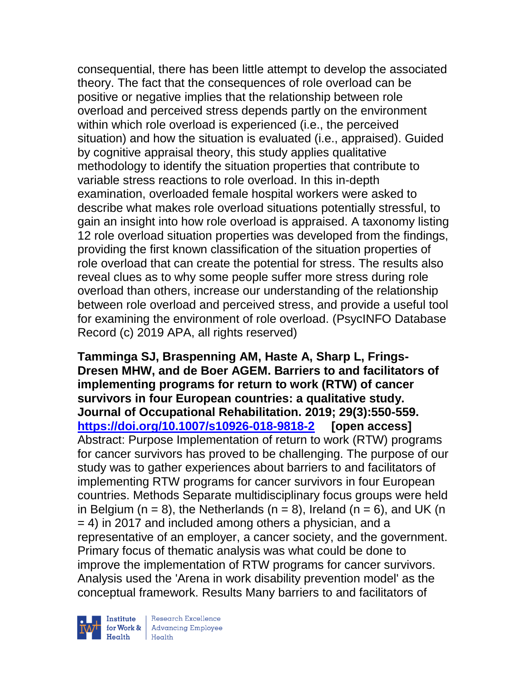consequential, there has been little attempt to develop the associated theory. The fact that the consequences of role overload can be positive or negative implies that the relationship between role overload and perceived stress depends partly on the environment within which role overload is experienced (i.e., the perceived situation) and how the situation is evaluated (i.e., appraised). Guided by cognitive appraisal theory, this study applies qualitative methodology to identify the situation properties that contribute to variable stress reactions to role overload. In this in-depth examination, overloaded female hospital workers were asked to describe what makes role overload situations potentially stressful, to gain an insight into how role overload is appraised. A taxonomy listing 12 role overload situation properties was developed from the findings, providing the first known classification of the situation properties of role overload that can create the potential for stress. The results also reveal clues as to why some people suffer more stress during role overload than others, increase our understanding of the relationship between role overload and perceived stress, and provide a useful tool for examining the environment of role overload. (PsycINFO Database Record (c) 2019 APA, all rights reserved)

**Tamminga SJ, Braspenning AM, Haste A, Sharp L, Frings-Dresen MHW, and de Boer AGEM. Barriers to and facilitators of implementing programs for return to work (RTW) of cancer survivors in four European countries: a qualitative study. Journal of Occupational Rehabilitation. 2019; 29(3):550-559. <https://doi.org/10.1007/s10926-018-9818-2> [open access]** Abstract: Purpose Implementation of return to work (RTW) programs for cancer survivors has proved to be challenging. The purpose of our study was to gather experiences about barriers to and facilitators of implementing RTW programs for cancer survivors in four European countries. Methods Separate multidisciplinary focus groups were held in Belgium ( $n = 8$ ), the Netherlands ( $n = 8$ ), Ireland ( $n = 6$ ), and UK ( $n = 6$ ) = 4) in 2017 and included among others a physician, and a representative of an employer, a cancer society, and the government. Primary focus of thematic analysis was what could be done to improve the implementation of RTW programs for cancer survivors. Analysis used the 'Arena in work disability prevention model' as the conceptual framework. Results Many barriers to and facilitators of